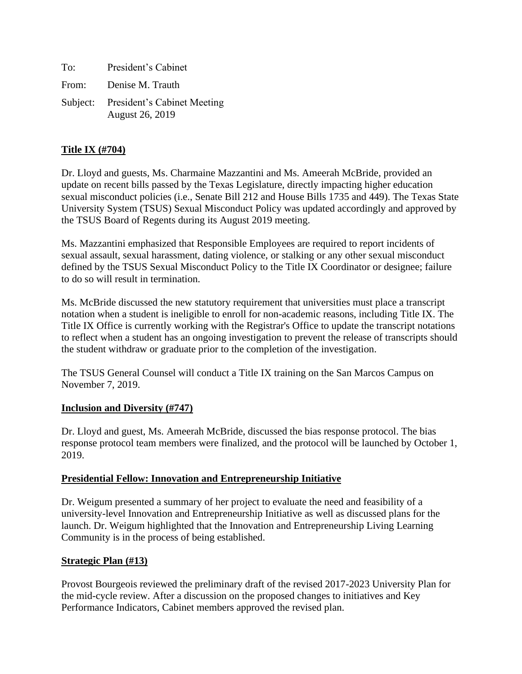| To:   | President's Cabinet                                            |
|-------|----------------------------------------------------------------|
| From: | Denise M. Trauth                                               |
|       | Subject: President's Cabinet Meeting<br><b>August 26, 2019</b> |

## **Title IX (#704)**

Dr. Lloyd and guests, Ms. Charmaine Mazzantini and Ms. Ameerah McBride, provided an update on recent bills passed by the Texas Legislature, directly impacting higher education sexual misconduct policies (i.e., Senate Bill 212 and House Bills 1735 and 449). The Texas State University System (TSUS) Sexual Misconduct Policy was updated accordingly and approved by the TSUS Board of Regents during its August 2019 meeting.

Ms. Mazzantini emphasized that Responsible Employees are required to report incidents of sexual assault, sexual harassment, dating violence, or stalking or any other sexual misconduct defined by the TSUS Sexual Misconduct Policy to the Title IX Coordinator or designee; failure to do so will result in termination.

Ms. McBride discussed the new statutory requirement that universities must place a transcript notation when a student is ineligible to enroll for non-academic reasons, including Title IX. The Title IX Office is currently working with the Registrar's Office to update the transcript notations to reflect when a student has an ongoing investigation to prevent the release of transcripts should the student withdraw or graduate prior to the completion of the investigation.

The TSUS General Counsel will conduct a Title IX training on the San Marcos Campus on November 7, 2019.

## **Inclusion and Diversity (#747)**

Dr. Lloyd and guest, Ms. Ameerah McBride, discussed the bias response protocol. The bias response protocol team members were finalized, and the protocol will be launched by October 1, 2019.

## **Presidential Fellow: Innovation and Entrepreneurship Initiative**

Dr. Weigum presented a summary of her project to evaluate the need and feasibility of a university-level Innovation and Entrepreneurship Initiative as well as discussed plans for the launch. Dr. Weigum highlighted that the Innovation and Entrepreneurship Living Learning Community is in the process of being established.

## **Strategic Plan (#13)**

Provost Bourgeois reviewed the preliminary draft of the revised 2017-2023 University Plan for the mid-cycle review. After a discussion on the proposed changes to initiatives and Key Performance Indicators, Cabinet members approved the revised plan.